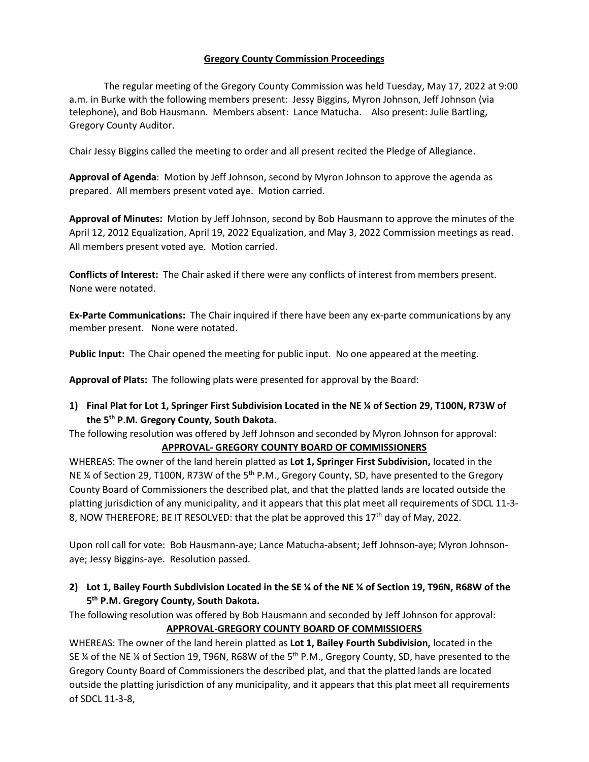### **Gregory County Commission Proceedings**

The regular meeting of the Gregory County Commission was held Tuesday, May 17, 2022 at 9:00 a.m. in Burke with the following members present: Jessy Biggins, Myron Johnson, Jeff Johnson (via telephone), and Bob Hausmann. Members absent: Lance Matucha. Also present: Julie Bartling, Gregory County Auditor.

Chair Jessy Biggins called the meeting to order and all present recited the Pledge of Allegiance.

**Approval of Agenda**: Motion by Jeff Johnson, second by Myron Johnson to approve the agenda as prepared. All members present voted aye. Motion carried.

**Approval of Minutes:** Motion by Jeff Johnson, second by Bob Hausmann to approve the minutes of the April 12, 2012 Equalization, April 19, 2022 Equalization, and May 3, 2022 Commission meetings as read. All members present voted aye. Motion carried.

**Conflicts of Interest:** The Chair asked if there were any conflicts of interest from members present. None were notated.

**Ex-Parte Communications:** The Chair inquired if there have been any ex-parte communications by any member present. None were notated.

**Public Input:** The Chair opened the meeting for public input. No one appeared at the meeting.

**Approval of Plats:** The following plats were presented for approval by the Board:

**1) Final Plat for Lot 1, Springer First Subdivision Located in the NE ¼ of Section 29, T100N, R73W of the 5th P.M. Gregory County, South Dakota.** 

The following resolution was offered by Jeff Johnson and seconded by Myron Johnson for approval:

### **APPROVAL- GREGORY COUNTY BOARD OF COMMISSIONERS**

WHEREAS: The owner of the land herein platted as **Lot 1, Springer First Subdivision,** located in the NE % of Section 29, T100N, R73W of the 5<sup>th</sup> P.M., Gregory County, SD, have presented to the Gregory County Board of Commissioners the described plat, and that the platted lands are located outside the platting jurisdiction of any municipality, and it appears that this plat meet all requirements of SDCL 11-3- 8, NOW THEREFORE; BE IT RESOLVED: that the plat be approved this 17<sup>th</sup> day of May, 2022.

Upon roll call for vote: Bob Hausmann-aye; Lance Matucha-absent; Jeff Johnson-aye; Myron Johnsonaye; Jessy Biggins-aye. Resolution passed.

**2) Lot 1, Bailey Fourth Subdivision Located in the SE ¼ of the NE ¼ of Section 19, T96N, R68W of the 5 th P.M. Gregory County, South Dakota.** 

The following resolution was offered by Bob Hausmann and seconded by Jeff Johnson for approval: **APPROVAL-GREGORY COUNTY BOARD OF COMMISSIOERS**

WHEREAS: The owner of the land herein platted as **Lot 1, Bailey Fourth Subdivision,** located in the SE ¼ of the NE ¼ of Section 19, T96N, R68W of the 5<sup>th</sup> P.M., Gregory County, SD, have presented to the Gregory County Board of Commissioners the described plat, and that the platted lands are located outside the platting jurisdiction of any municipality, and it appears that this plat meet all requirements of SDCL 11-3-8,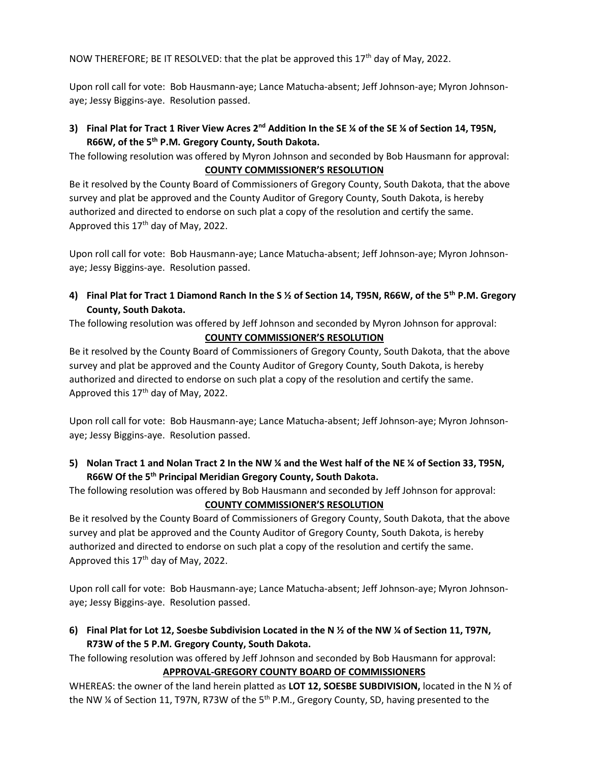NOW THEREFORE; BE IT RESOLVED: that the plat be approved this 17<sup>th</sup> day of May, 2022.

Upon roll call for vote: Bob Hausmann-aye; Lance Matucha-absent; Jeff Johnson-aye; Myron Johnsonaye; Jessy Biggins-aye. Resolution passed.

**3) Final Plat for Tract 1 River View Acres 2nd Addition In the SE ¼ of the SE ¼ of Section 14, T95N, R66W, of the 5th P.M. Gregory County, South Dakota.** 

The following resolution was offered by Myron Johnson and seconded by Bob Hausmann for approval: **COUNTY COMMISSIONER'S RESOLUTION**

Be it resolved by the County Board of Commissioners of Gregory County, South Dakota, that the above survey and plat be approved and the County Auditor of Gregory County, South Dakota, is hereby authorized and directed to endorse on such plat a copy of the resolution and certify the same. Approved this  $17<sup>th</sup>$  day of May, 2022.

Upon roll call for vote: Bob Hausmann-aye; Lance Matucha-absent; Jeff Johnson-aye; Myron Johnsonaye; Jessy Biggins-aye. Resolution passed.

**4) Final Plat for Tract 1 Diamond Ranch In the S ½ of Section 14, T95N, R66W, of the 5th P.M. Gregory County, South Dakota.**

The following resolution was offered by Jeff Johnson and seconded by Myron Johnson for approval: **COUNTY COMMISSIONER'S RESOLUTION**

Be it resolved by the County Board of Commissioners of Gregory County, South Dakota, that the above survey and plat be approved and the County Auditor of Gregory County, South Dakota, is hereby authorized and directed to endorse on such plat a copy of the resolution and certify the same. Approved this 17<sup>th</sup> day of May, 2022.

Upon roll call for vote: Bob Hausmann-aye; Lance Matucha-absent; Jeff Johnson-aye; Myron Johnsonaye; Jessy Biggins-aye. Resolution passed.

**5) Nolan Tract 1 and Nolan Tract 2 In the NW ¼ and the West half of the NE ¼ of Section 33, T95N, R66W Of the 5th Principal Meridian Gregory County, South Dakota.**

The following resolution was offered by Bob Hausmann and seconded by Jeff Johnson for approval: **COUNTY COMMISSIONER'S RESOLUTION**

Be it resolved by the County Board of Commissioners of Gregory County, South Dakota, that the above survey and plat be approved and the County Auditor of Gregory County, South Dakota, is hereby authorized and directed to endorse on such plat a copy of the resolution and certify the same. Approved this 17<sup>th</sup> day of May, 2022.

Upon roll call for vote: Bob Hausmann-aye; Lance Matucha-absent; Jeff Johnson-aye; Myron Johnsonaye; Jessy Biggins-aye. Resolution passed.

**6) Final Plat for Lot 12, Soesbe Subdivision Located in the N ½ of the NW ¼ of Section 11, T97N, R73W of the 5 P.M. Gregory County, South Dakota.**

The following resolution was offered by Jeff Johnson and seconded by Bob Hausmann for approval: **APPROVAL-GREGORY COUNTY BOARD OF COMMISSIONERS**

WHEREAS: the owner of the land herein platted as **LOT 12, SOESBE SUBDIVISION,** located in the N ½ of the NW  $\frac{1}{4}$  of Section 11, T97N, R73W of the 5<sup>th</sup> P.M., Gregory County, SD, having presented to the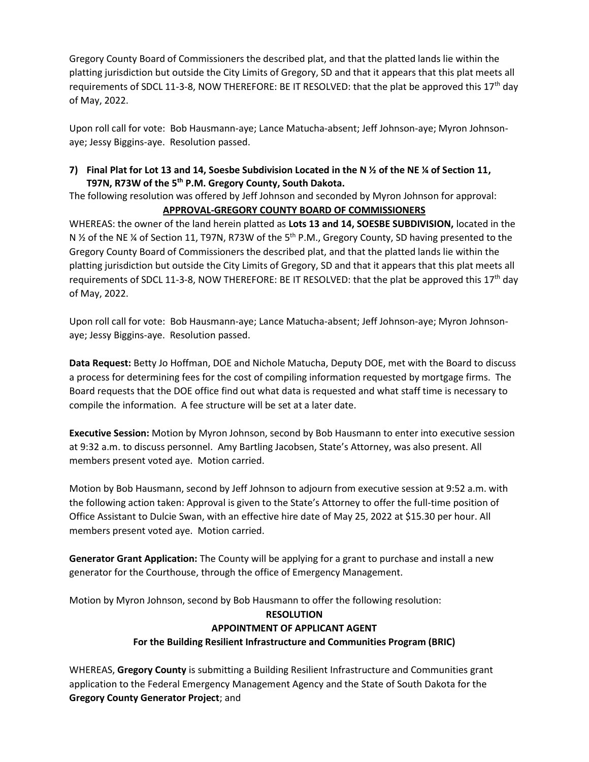Gregory County Board of Commissioners the described plat, and that the platted lands lie within the platting jurisdiction but outside the City Limits of Gregory, SD and that it appears that this plat meets all requirements of SDCL 11-3-8, NOW THEREFORE: BE IT RESOLVED: that the plat be approved this 17<sup>th</sup> day of May, 2022.

Upon roll call for vote: Bob Hausmann-aye; Lance Matucha-absent; Jeff Johnson-aye; Myron Johnsonaye; Jessy Biggins-aye. Resolution passed.

### **7) Final Plat for Lot 13 and 14, Soesbe Subdivision Located in the N ½ of the NE ¼ of Section 11, T97N, R73W of the 5th P.M. Gregory County, South Dakota.**

The following resolution was offered by Jeff Johnson and seconded by Myron Johnson for approval:

## **APPROVAL-GREGORY COUNTY BOARD OF COMMISSIONERS**

WHEREAS: the owner of the land herein platted as **Lots 13 and 14, SOESBE SUBDIVISION,** located in the N <sup>1/2</sup> of the NE <sup>1/2</sup> of Section 11, T97N, R73W of the 5<sup>th</sup> P.M., Gregory County, SD having presented to the Gregory County Board of Commissioners the described plat, and that the platted lands lie within the platting jurisdiction but outside the City Limits of Gregory, SD and that it appears that this plat meets all requirements of SDCL 11-3-8, NOW THEREFORE: BE IT RESOLVED: that the plat be approved this  $17<sup>th</sup>$  day of May, 2022.

Upon roll call for vote: Bob Hausmann-aye; Lance Matucha-absent; Jeff Johnson-aye; Myron Johnsonaye; Jessy Biggins-aye. Resolution passed.

**Data Request:** Betty Jo Hoffman, DOE and Nichole Matucha, Deputy DOE, met with the Board to discuss a process for determining fees for the cost of compiling information requested by mortgage firms. The Board requests that the DOE office find out what data is requested and what staff time is necessary to compile the information. A fee structure will be set at a later date.

**Executive Session:** Motion by Myron Johnson, second by Bob Hausmann to enter into executive session at 9:32 a.m. to discuss personnel. Amy Bartling Jacobsen, State's Attorney, was also present. All members present voted aye. Motion carried.

Motion by Bob Hausmann, second by Jeff Johnson to adjourn from executive session at 9:52 a.m. with the following action taken: Approval is given to the State's Attorney to offer the full-time position of Office Assistant to Dulcie Swan, with an effective hire date of May 25, 2022 at \$15.30 per hour. All members present voted aye. Motion carried.

**Generator Grant Application:** The County will be applying for a grant to purchase and install a new generator for the Courthouse, through the office of Emergency Management.

Motion by Myron Johnson, second by Bob Hausmann to offer the following resolution:

### **RESOLUTION**

# **APPOINTMENT OF APPLICANT AGENT**

# **For the Building Resilient Infrastructure and Communities Program (BRIC)**

WHEREAS, **Gregory County** is submitting a Building Resilient Infrastructure and Communities grant application to the Federal Emergency Management Agency and the State of South Dakota for the **Gregory County Generator Project**; and